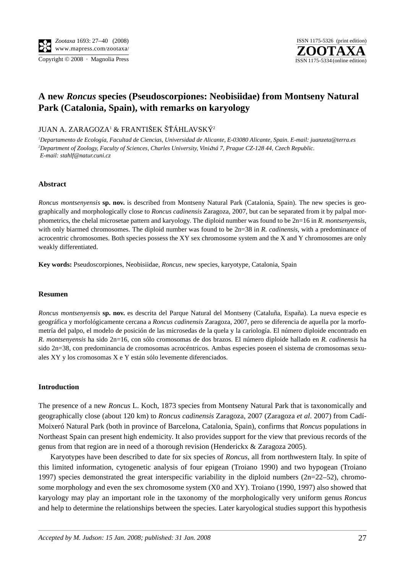



# **A new** *Roncus* **species (Pseudoscorpiones: Neobisiidae) from Montseny Natural Park (Catalonia, Spain), with remarks on karyology**

JUAN A. ZARAGOZA<sup>1</sup> & FRANTIŠEK ŠŤÁHLAVSKÝ<sup>2</sup>

*1 Departamento de Ecología, Facultad de Ciencias, Universidad de Alicante, E-03080 Alicante, Spain. E-mail: juanzeta@terra.es 2 Department of Zoology, Faculty of Sciences, Charles University, Vini*…*ná 7, Prague CZ-128 44, Czech Republic. E-mail: stahlf@natur.cuni.cz*

### **Abstract**

*Roncus montsenyensis* **sp. nov.** is described from Montseny Natural Park (Catalonia, Spain). The new species is geographically and morphologically close to *Roncus cadinensis* Zaragoza, 2007, but can be separated from it by palpal morphometrics, the chelal microsetae pattern and karyology. The diploid number was found to be 2n=16 in *R. montsenyensis*, with only biarmed chromosomes. The diploid number was found to be 2n=38 in *R. cadinensis*, with a predominance of acrocentric chromosomes*.* Both species possess the XY sex chromosome system and the X and Y chromosomes are only weakly differentiated.

**Key words:** Pseudoscorpiones, Neobisiidae, *Roncus*, new species, karyotype, Catalonia, Spain

#### **Resumen**

*Roncus montsenyensis* **sp. nov.** es descrita del Parque Natural del Montseny (Cataluña, España). La nueva especie es geográfica y morfológicamente cercana a *Roncus cadinensis* Zaragoza, 2007, pero se diferencia de aquella por la morfometría del palpo, el modelo de posición de las microsedas de la quela y la cariología. El número diploide encontrado en *R. montsenyensis* ha sido 2n=16, con sólo cromosomas de dos brazos. El número diploide hallado en *R. cadinensis* ha sido 2n=38, con predominancia de cromosomas acrocéntricos. Ambas especies poseen el sistema de cromosomas sexuales XY y los cromosomas X e Y están sólo levemente diferenciados.

### **Introduction**

The presence of a new *Roncus* L. Koch, 1873 species from Montseny Natural Park that is taxonomically and geographically close (about 120 km) to *Roncus cadinensis* Zaragoza, 2007 (Zaragoza *et al*. 2007) from Cadí-Moixeró Natural Park (both in province of Barcelona, Catalonia, Spain), confirms that *Roncus* populations in Northeast Spain can present high endemicity. It also provides support for the view that previous records of the genus from that region are in need of a thorough revision (Henderickx & Zaragoza 2005).

Karyotypes have been described to date for six species of *Roncus*, all from northwestern Italy. In spite of this limited information, cytogenetic analysis of four epigean (Troiano 1990) and two hypogean (Troiano 1997) species demonstrated the great interspecific variability in the diploid numbers  $(2n=22-52)$ , chromosome morphology and even the sex chromosome system (X0 and XY). Troiano (1990, 1997) also showed that karyology may play an important role in the taxonomy of the morphologically very uniform genus *Roncus* and help to determine the relationships between the species. Later karyological studies support this hypothesis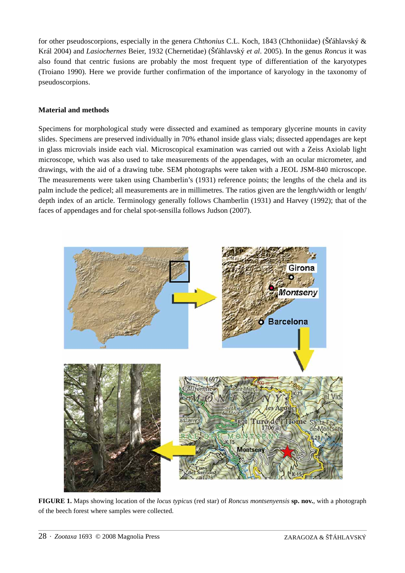for other pseudoscorpions, especially in the genera *Chthonius* C.L. Koch, 1843 (Chthoniidae) (Šťáhlavský & Král 2004) and *Lasiochernes* Beier, 1932 (Chernetidae) (Šťáhlavský *et al.* 2005). In the genus *Roncus* it was also found that centric fusions are probably the most frequent type of differentiation of the karyotypes (Troiano 1990). Here we provide further confirmation of the importance of karyology in the taxonomy of pseudoscorpions.

# **Material and methods**

Specimens for morphological study were dissected and examined as temporary glycerine mounts in cavity slides. Specimens are preserved individually in 70% ethanol inside glass vials; dissected appendages are kept in glass microvials inside each vial. Microscopical examination was carried out with a Zeiss Axiolab light microscope, which was also used to take measurements of the appendages, with an ocular micrometer, and drawings, with the aid of a drawing tube. SEM photographs were taken with a JEOL JSM-840 microscope. The measurements were taken using Chamberlin's (1931) reference points; the lengths of the chela and its palm include the pedicel; all measurements are in millimetres. The ratios given are the length/width or length/ depth index of an article. Terminology generally follows Chamberlin (1931) and Harvey (1992); that of the faces of appendages and for chelal spot-sensilla follows Judson (2007).



**FIGURE 1.** Maps showing location of the *locus typicus* (red star) of *Roncus montsenyensis* **sp. nov.**, with a photograph of the beech forest where samples were collected.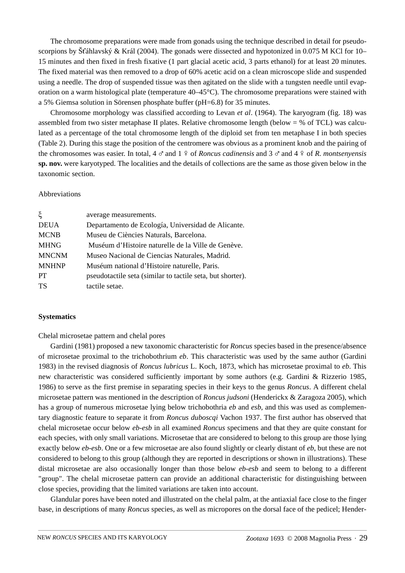The chromosome preparations were made from gonads using the technique described in detail for pseudoscorpions by Šťáhlavský & Král (2004). The gonads were dissected and hypotonized in 0.075 M KCl for 10– 15 minutes and then fixed in fresh fixative (1 part glacial acetic acid, 3 parts ethanol) for at least 20 minutes. The fixed material was then removed to a drop of 60% acetic acid on a clean microscope slide and suspended using a needle. The drop of suspended tissue was then agitated on the slide with a tungsten needle until evaporation on a warm histological plate (temperature 40–45°C). The chromosome preparations were stained with a 5% Giemsa solution in Sörensen phosphate buffer (pH=6.8) for 35 minutes.

Chromosome morphology was classified according to Levan *et al*. (1964). The karyogram (fig. 18) was assembled from two sister metaphase II plates. Relative chromosome length (below = % of TCL) was calculated as a percentage of the total chromosome length of the diploid set from ten metaphase I in both species (Table 2). During this stage the position of the centromere was obvious as a prominent knob and the pairing of the chromosomes was easier. In total,  $4 \circ$  and  $1 \circ$  of *Roncus cadinensis* and  $3 \circ$  and  $4 \circ$  of *R. montsenyensis* **sp. nov.** were karyotyped. The localities and the details of collections are the same as those given below in the taxonomic section.

### Abbreviations

| ξ            | average measurements.                                      |
|--------------|------------------------------------------------------------|
| <b>DEUA</b>  | Departamento de Ecología, Universidad de Alicante.         |
| <b>MCNB</b>  | Museu de Ciències Naturals, Barcelona.                     |
| <b>MHNG</b>  | Muséum d'Histoire naturelle de la Ville de Genève.         |
| <b>MNCNM</b> | Museo Nacional de Ciencias Naturales, Madrid.              |
| <b>MNHNP</b> | Muséum national d'Histoire naturelle, Paris.               |
| PT           | pseudotactile seta (similar to tactile seta, but shorter). |
| TS           | tactile setae.                                             |
|              |                                                            |

## **Systematics**

Chelal microsetae pattern and chelal pores

Gardini (1981) proposed a new taxonomic characteristic for *Roncus* species based in the presence/absence of microsetae proximal to the trichobothrium *eb*. This characteristic was used by the same author (Gardini 1983) in the revised diagnosis of *Roncus lubricus* L. Koch, 1873, which has microsetae proximal to *eb*. This new characteristic was considered sufficiently important by some authors (e.g. Gardini & Rizzerio 1985, 1986) to serve as the first premise in separating species in their keys to the genus *Roncus*. A different chelal microsetae pattern was mentioned in the description of *Roncus judsoni* (Henderickx & Zaragoza 2005), which has a group of numerous microsetae lying below trichobothria *eb* and *esb*, and this was used as complementary diagnostic feature to separate it from *Roncus duboscqi* Vachon 1937. The first author has observed that chelal microsetae occur below *eb-esb* in all examined *Roncus* specimens and that they are quite constant for each species, with only small variations. Microsetae that are considered to belong to this group are those lying exactly below *eb-esb*. One or a few microsetae are also found slightly or clearly distant of *eb*, but these are not considered to belong to this group (although they are reported in descriptions or shown in illustrations). These distal microsetae are also occasionally longer than those below *eb-esb* and seem to belong to a different "group". The chelal microsetae pattern can provide an additional characteristic for distinguishing between close species, providing that the limited variations are taken into account.

Glandular pores have been noted and illustrated on the chelal palm, at the antiaxial face close to the finger base, in descriptions of many *Roncus* species, as well as micropores on the dorsal face of the pedicel; Hender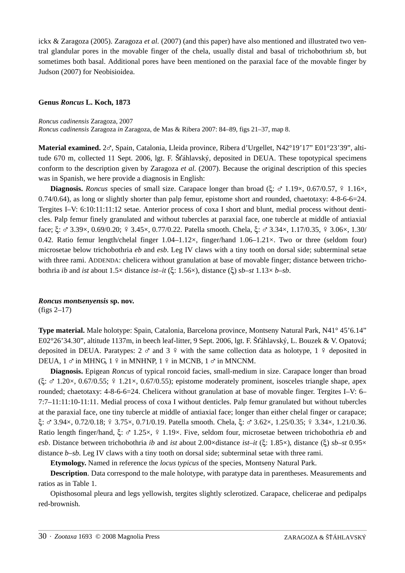ickx & Zaragoza (2005). Zaragoza *et al.* (2007) (and this paper) have also mentioned and illustrated two ventral glandular pores in the movable finger of the chela, usually distal and basal of trichobothrium *sb*, but sometimes both basal. Additional pores have been mentioned on the paraxial face of the movable finger by Judson (2007) for Neobisioidea.

### **Genus** *Roncus* **L. Koch, 1873**

*Roncus cadinensis* Zaragoza, 2007 *Roncus cadinensis* Zaragoza *in* Zaragoza, de Mas & Ribera 2007: 84–89, figs 21–37, map 8.

**Material examined.** 2%, Spain, Catalonia, Lleida province, Ribera d'Urgellet, N42°19'17" E01°23'39", altitude 670 m, collected 11 Sept. 2006, lgt. F. Šťáhlavský, deposited in DEUA. These topotypical specimens conform to the description given by Zaragoza *et al.* (2007). Because the original description of this species was in Spanish, we here provide a diagnosis in English:

**Diagnosis.** *Roncus* species of small size. Carapace longer than broad (ξ: % 1.19×, 0.67/0.57, & 1.16×, 0.74/0.64), as long or slightly shorter than palp femur, epistome short and rounded, chaetotaxy: 4-8-6-6=24. Tergites I–V: 6:10:11:11:12 setae. Anterior process of coxa I short and blunt, medial process without denticles. Palp femur finely granulated and without tubercles at paraxial face, one tubercle at middle of antiaxial face; ξ:  $\sigma$  3.39×, 0.69/0.20;  $\alpha$  3.45×, 0.77/0.22. Patella smooth. Chela, ξ:  $\sigma$  3.34×, 1.17/0.35,  $\alpha$  3.06×, 1.30/ 0.42. Ratio femur length/chelal finger 1.04–1.12×, finger/hand 1.06–1.21×. Two or three (seldom four) microsetae below trichobothria *eb* and *esb*. Leg IV claws with a tiny tooth on dorsal side; subterminal setae with three rami. ADDENDA: chelicera without granulation at base of movable finger; distance between trichobothria *ib* and *ist* about  $1.5 \times$  distance *ist–it* (ξ:  $1.56 \times$ ), distance (ξ) *sb–st*  $1.13 \times b$ –*sb*.

#### *Roncus montsenyensis* **sp. nov.**

(figs 2–17)

**Type material.** Male holotype: Spain, Catalonia, Barcelona province, Montseny Natural Park, N41° 45'6.14" E02°26'34.30", altitude 1137m, in beech leaf-litter, 9 Sept. 2006, lgt. F. Šťáhlavský, L. Bouzek & V. Opatová; deposited in DEUA. Paratypes: 2  $\sigma$  and 3  $\alpha$  with the same collection data as holotype, 1  $\alpha$  deposited in DEUA,  $1 \circ$  in MHNG,  $1 \circ$  in MNHNP,  $1 \circ$  in MCNB,  $1 \circ$  in MNCNM.

**Diagnosis.** Epigean *Roncus* of typical roncoid facies, small-medium in size. Carapace longer than broad (ξ:  $\sigma$  1.20 $\times$ , 0.67/0.55;  $\frac{\alpha}{2}$  1.21 $\times$ , 0.67/0.55); epistome moderately prominent, isosceles triangle shape, apex rounded; chaetotaxy: 4-8-6-6=24. Chelicera without granulation at base of movable finger. Tergites I–V: 6– 7:7–11:11:10-11:11. Medial process of coxa I without denticles. Palp femur granulated but without tubercles at the paraxial face, one tiny tubercle at middle of antiaxial face; longer than either chelal finger or carapace; ξ: σ' 3.94×, 0.72/0.18;  $\frac{9}{7}$  3.75×, 0.71/0.19. Patella smooth. Chela, ξ: σ' 3.62×, 1.25/0.35;  $\frac{9}{7}$  3.34×, 1.21/0.36. Ratio length finger/hand, ξ: % 1.25×, & 1.19×. Five, seldom four, microsetae between trichobothria *eb* and *esb*. Distance between trichobothria *ib* and *ist* about 2.00×distance *ist–it* (ξ: 1.85×), distance (ξ) *sb–st* 0.95× distance *b–sb*. Leg IV claws with a tiny tooth on dorsal side; subterminal setae with three rami.

**Etymology.** Named in reference the *locus typicus* of the species, Montseny Natural Park.

**Description**. Data correspond to the male holotype, with paratype data in parentheses. Measurements and ratios as in Table 1.

Opisthosomal pleura and legs yellowish, tergites slightly sclerotized. Carapace, chelicerae and pedipalps red-brownish.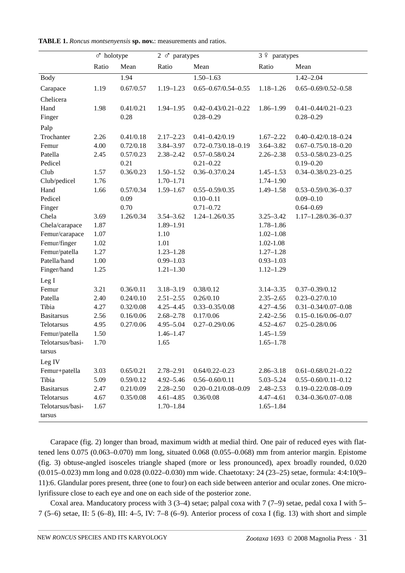|                                  | ♂ holotype   |           | $2 \circ$ paratypes        |                           | 39<br>paratypes                |                             |
|----------------------------------|--------------|-----------|----------------------------|---------------------------|--------------------------------|-----------------------------|
|                                  | Ratio        | Mean      | Ratio                      | Mean                      | Ratio                          | Mean                        |
| <b>Body</b>                      |              | 1.94      |                            | $1.50 - 1.63$             |                                | $1.42 - 2.04$               |
| Carapace                         | 1.19         | 0.67/0.57 | $1.19 - 1.23$              | $0.65 - 0.67/0.54 - 0.55$ | $1.18 - 1.26$                  | $0.65 - 0.69 / 0.52 - 0.58$ |
| Chelicera                        |              |           |                            |                           |                                |                             |
| Hand                             | 1.98         | 0.41/0.21 | $1.94 - 1.95$              | $0.42 - 0.43/0.21 - 0.22$ | $1.86 - 1.99$                  | $0.41 - 0.44/0.21 - 0.23$   |
| Finger                           |              | 0.28      |                            | $0.28 - 0.29$             |                                | $0.28 - 0.29$               |
| Palp                             |              |           |                            |                           |                                |                             |
| Trochanter                       | 2.26         | 0.41/0.18 | $2.17 - 2.23$              | $0.41 - 0.42/0.19$        | $1.67 - 2.22$                  | $0.40 - 0.42 / 0.18 - 0.24$ |
| Femur                            | 4.00         | 0.72/0.18 | 3.84-3.97                  | $0.72 - 0.73/0.18 - 0.19$ | $3.64 - 3.82$                  | $0.67 - 0.75/0.18 - 0.20$   |
| Patella                          | 2.45         | 0.57/0.23 | $2.38 - 2.42$              | $0.57 - 0.58 / 0.24$      | $2.26 - 2.38$                  | $0.53 - 0.58/0.23 - 0.25$   |
| Pedicel                          |              | 0.21      |                            | $0.21 - 0.22$             |                                | $0.19 - 0.20$               |
| Club                             | 1.57         | 0.36/0.23 | $1.50 - 1.52$              | $0.36 - 0.37/0.24$        | $1.45 - 1.53$                  | $0.34 - 0.38 / 0.23 - 0.25$ |
| Club/pedicel                     | 1.76         |           | $1.70 - 1.71$              |                           | $1.74 - 1.90$                  |                             |
| Hand                             | 1.66         | 0.57/0.34 | $1.59 - 1.67$              | $0.55 - 0.59 / 0.35$      | $1.49 - 1.58$                  | $0.53 - 0.59/0.36 - 0.37$   |
| Pedicel                          |              | 0.09      |                            | $0.10 - 0.11$             |                                | $0.09 - 0.10$               |
| Finger                           |              | 0.70      |                            | $0.71 - 0.72$             |                                | $0.64 - 0.69$               |
| Chela                            | 3.69<br>1.87 | 1.26/0.34 | $3.54 - 3.62$<br>1.89-1.91 | 1.24-1.26/0.35            | $3.25 - 3.42$<br>$1.78 - 1.86$ | 1.17-1.28/0.36-0.37         |
| Chela/carapace<br>Femur/carapace | 1.07         |           | 1.10                       |                           | $1.02 - 1.08$                  |                             |
| Femur/finger                     | 1.02         |           | 1.01                       |                           | 1.02-1.08                      |                             |
| Femur/patella                    | 1.27         |           | $1.23 - 1.28$              |                           | $1.27 - 1.28$                  |                             |
| Patella/hand                     | 1.00         |           | $0.99 - 1.03$              |                           | $0.93 - 1.03$                  |                             |
| Finger/hand                      | 1.25         |           | $1.21 - 1.30$              |                           | $1.12 - 1.29$                  |                             |
| Leg I                            |              |           |                            |                           |                                |                             |
| Femur                            | 3.21         | 0.36/0.11 | $3.18 - 3.19$              | 0.38/0.12                 | $3.14 - 3.35$                  | $0.37 - 0.39 / 0.12$        |
| Patella                          | 2.40         | 0.24/0.10 | $2.51 - 2.55$              | 0.26/0.10                 | $2.35 - 2.65$                  | $0.23 - 0.27/0.10$          |
| Tibia                            | 4.27         | 0.32/0.08 | $4.25 - 4.45$              | $0.33 - 0.35/0.08$        | $4.27 - 4.56$                  | $0.31 - 0.34/0.07 - 0.08$   |
| <b>Basitarsus</b>                | 2.56         | 0.16/0.06 | $2.68 - 2.78$              | 0.17/0.06                 | $2.42 - 2.56$                  | $0.15 - 0.16/0.06 - 0.07$   |
| Telotarsus                       | 4.95         | 0.27/0.06 | $4.95 - 5.04$              | $0.27 - 0.29 / 0.06$      | $4.52 - 4.67$                  | $0.25 - 0.28 / 0.06$        |
| Femur/patella                    | 1.50         |           | $1.46 - 1.47$              |                           | $1.45 - 1.59$                  |                             |
| Telotarsus/basi-                 | 1.70         |           | 1.65                       |                           | $1.65 - 1.78$                  |                             |
| tarsus                           |              |           |                            |                           |                                |                             |
| Leg IV                           |              |           |                            |                           |                                |                             |
| Femur+patella                    | 3.03         | 0.65/0.21 | $2.78 - 2.91$              | $0.64/0.22 - 0.23$        | $2.86 - 3.18$                  | $0.61 - 0.68/0.21 - 0.22$   |
| Tibia                            | 5.09         | 0.59/0.12 | $4.92 - 5.46$              | $0.56 - 0.60 / 0.11$      | $5.03 - 5.24$                  | $0.55 - 0.60/0.11 - 0.12$   |
| <b>Basitarsus</b>                | 2.47         | 0.21/0.09 | $2.28 - 2.50$              | $0.20 - 0.21/0.08 - 0.09$ | $2.48 - 2.53$                  | $0.19 - 0.22 / 0.08 - 0.09$ |
| Telotarsus                       | 4.67         | 0.35/0.08 | $4.61 - 4.85$              | 0.36/0.08                 | 4.47-4.61                      | $0.34 - 0.36/0.07 - 0.08$   |
| Telotarsus/basi-                 | 1.67         |           | $1.70 - 1.84$              |                           | $1.65 - 1.84$                  |                             |
| tarsus                           |              |           |                            |                           |                                |                             |

**TABLE 1.** *Roncus montsenyensis* **sp. nov.**: measurements and ratios.

Carapace (fig. 2) longer than broad, maximum width at medial third. One pair of reduced eyes with flattened lens 0.075 (0.063–0.070) mm long, situated 0.068 (0.055–0.068) mm from anterior margin. Epistome (fig. 3) obtuse-angled isosceles triangle shaped (more or less pronounced), apex broadly rounded, 0.020 (0.015–0.023) mm long and 0.028 (0.022–0.030) mm wide. Chaetotaxy: 24 (23–25) setae, formula: 4:4:10(9– 11):6. Glandular pores present, three (one to four) on each side between anterior and ocular zones. One microlyrifissure close to each eye and one on each side of the posterior zone.

Coxal area. Manducatory process with 3 (3–4) setae; palpal coxa with 7 (7–9) setae, pedal coxa I with 5– 7 (5–6) setae, II: 5 (6–8), III: 4–5, IV: 7–8 (6–9). Anterior process of coxa I (fig. 13) with short and simple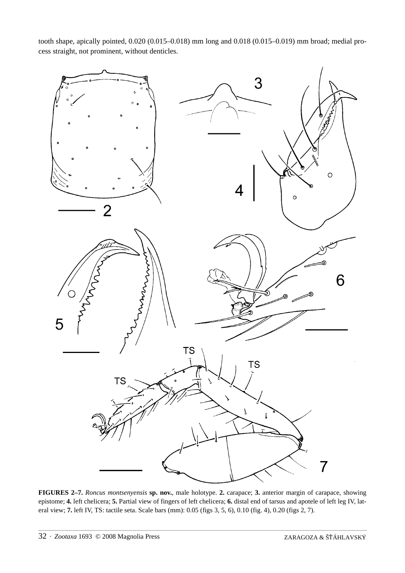tooth shape, apically pointed, 0.020 (0.015–0.018) mm long and 0.018 (0.015–0.019) mm broad; medial process straight, not prominent, without denticles.



**FIGURES 2–7.** *Roncus montsenyensis* **sp. nov.**, male holotype. **2.** carapace; **3.** anterior margin of carapace, showing epistome; **4.** left chelicera; **5.** Partial view of fingers of left chelicera; **6.** distal end of tarsus and apotele of left leg IV, lateral view; **7.** left IV, TS: tactile seta. Scale bars (mm): 0.05 (figs 3, 5, 6), 0.10 (fig. 4), 0.20 (figs 2, 7).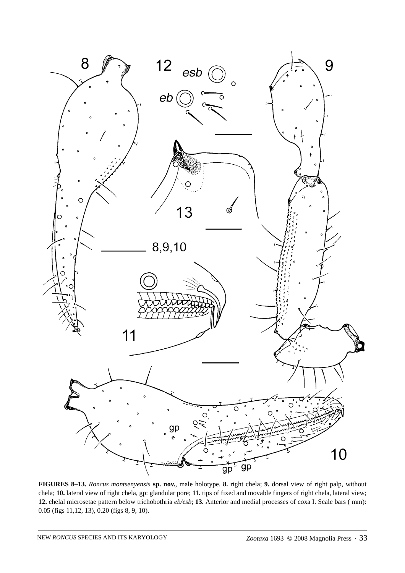

**FIGURES 8–13.** *Roncus montsenyensis* **sp. nov.**, male holotype. **8.** right chela; **9.** dorsal view of right palp, without chela; **10.** lateral view of right chela, gp: glandular pore; **11.** tips of fixed and movable fingers of right chela, lateral view; **12.** chelal microsetae pattern below trichobothria *eb/esb*; **13.** Anterior and medial processes of coxa I. Scale bars ( mm): 0.05 (figs 11,12, 13), 0.20 (figs 8, 9, 10).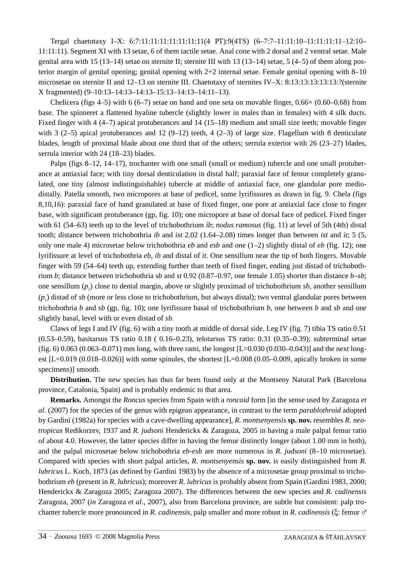Tergal chaetotaxy I–X: 6:7:11:11:11:11:11:11:11(4 PT):9(4TS) (6–7:7–11:11:10–11:11:11:11–12:10– 11:11:11). Segment XI with 13 setae, 6 of them tactile setae. Anal cone with 2 dorsal and 2 ventral setae. Male genital area with 15 (13–14) setae on sternite II; sternite III with 13 (13–14) setae, 5 (4–5) of them along posterior margin of genital opening; genital opening with  $2+2$  internal setae. Female genital opening with  $8-10$ microsetae on sternite II and 12–13 on sternite III. Chaetotaxy of sternites IV–X: 8:13:13:13:13:13:13:2(sternite X fragmented) (9–10:13–14:13–14:13–15:13–14:13–14:11–13).

Chelicera (figs 4–5) with 6 (6–7) setae on hand and one seta on movable finger,  $0.66 \times (0.60 - 0.68)$  from base. The spinneret a flattened hyaline tubercle (slightly lower in males than in females) with 4 silk ducts. Fixed finger with 4 (4–7) apical protuberances and 14 (15–18) medium and small size teeth; movable finger with 3 (2–5) apical protuberances and 12 (9–12) teeth, 4 (2–3) of large size. Flagellum with 8 denticulate blades, length of proximal blade about one third that of the others; serrula exterior with 26 (23–27) blades, serrula interior with 24 (18–23) blades.

Palps (figs 8–12, 14–17), trochanter with one small (small or medium) tubercle and one small protuberance at antiaxial face; with tiny dorsal denticulation in distal half; paraxial face of femur completely granulated, one tiny (almost indistinguishable) tubercle at middle of antiaxial face, one glandular pore mediodistally. Patella smooth, two micropores at base of pedicel, some lyrifissures as drawn in fig. 9. Chela (figs 8,10,16): paraxial face of hand granulated at base of fixed finger, one pore at antiaxial face close to finger base, with significant protuberance (gp, fig. 10); one micropore at base of dorsal face of pedicel. Fixed finger with 61 (54–63) teeth up to the level of trichobothrium *ib*; *nodus ramosus* (fig. 11) at level of 5th (4th) distal tooth; distance between trichobothria *ib* and *ist* 2.02 (1.64–2.08) times longer than between *ist* and *it*; 5 (5, only one male 4) microsetae below trichobothria *eb* and *esb* and one (1–2) slightly distal of *eb* (fig. 12); one lyrifissure at level of trichobothria *eb*, *ib* and distal of *it*. One sensillum near the tip of both fingers. Movable finger with 59 (54–64) teeth up, extending further than teeth of fixed finger, ending just distad of trichobothrium *b*; distance between trichobothria s*b* and *st* 0.92 (0.87–0.97, one female 1.05) shorter than distance *b–sb*; one sensillum (*p*2) close to dental margin, above or slightly proximad of trichobothrium *sb*, another sensillum  $(p_1)$  distad of *sb* (more or less close to trichobothrium, but always distal); two ventral glandular pores between trichobothria *b* and *sb* (gp, fig. 10); one lyrifissure basal of trichobothrium *b*, one between *b* and *sb* and one slightly basal, level with or even distad of *sb*.

Claws of legs I and IV (fig. 6) with a tiny tooth at middle of dorsal side. Leg IV (fig. 7) tibia TS ratio 0.51 (0.53–0.59), basitarsus TS ratio 0.18 ( 0.16–0.23), telotarsus TS ratio: 0.31 (0.35–0.39); subterminal setae (fig. 6) 0.063 (0.063–0.071) mm long, with three rami, the longest [L=0.030 (0.030–0.043)] and the next longest  $[L=0.019 (0.018-0.026)]$  with some spinules, the shortest  $[L=0.008 (0.05-0.009, apically broken in some$ specimens)] smooth.

**Distribution.** The new species has thus far been found only at the Montseny Natural Park (Barcelona province, Catalonia, Spain) and is probably endemic to that area.

**Remarks.** Amongst the *Roncus* species from Spain with a *roncoid* form [in the sense used by Zaragoza *et al.* (2007) for the species of the genus with epigean appearance, in contrast to the term *parablothroid* adopted by Gardini (1982a) for species with a cave-dwelling appearance], *R. montsenyensis* **sp. nov.** resembles *R. neotropicus* Redikorzev, 1937 and *R. judsoni* Henderickx & Zaragoza, 2005 in having a male palpal femur ratio of about 4.0. However, the latter species differ in having the femur distinctly longer (about 1.00 mm in both), and the palpal microsetae below trichobothria *eb*-*esb* are more numerous in *R. judsoni* (8–10 microsetae). Compared with species with short palpal articles, *R. montsenyensis* **sp. nov.** is easily distinguished from *R. lubricus* L. Koch, 1873 (as defined by Gardini 1983) by the absence of a microsetae group proximal to trichobothrium *eb* (present in *R. lubricus*); moreover *R. lubricus* is probably absent from Spain (Gardini 1983, 2000; Henderickx & Zaragoza 2005; Zaragoza 2007). The differences between the new species and *R. cadinensis* Zaragoza, 2007 (*in* Zaragoza *et al*., 2007), also from Barcelona province, are subtle but consistent: palp trochanter tubercle more pronounced in *R. cadinensis*, palp smaller and more robust in *R. cadinensis* (ξ: femur %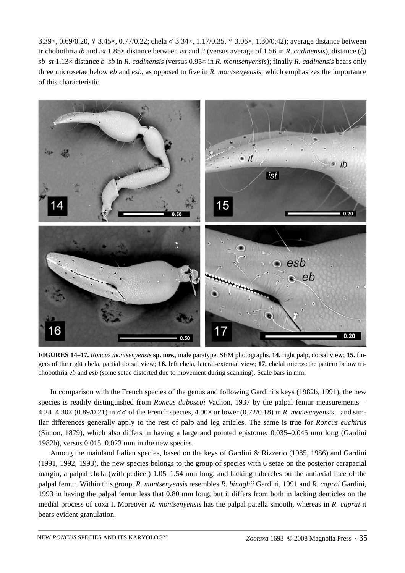3.39×, 0.69/0.20, & 3.45×, 0.77/0.22; chela % 3.34×, 1.17/0.35, & 3.06×, 1.30/0.42); average distance between trichobothria *ib* and *ist* 1.85× distance between *ist* and *it* (versus average of 1.56 in *R. cadinensis*), distance (ξ) *sb–st* 1.13× distance *b–sb* in *R. cadinensis* (versus 0.95× in *R. montsenyensis*); finally *R. cadinensis* bears only three microsetae below *eb* and *esb*, as opposed to five in *R. montsenyensis*, which emphasizes the importance of this characteristic.



**FIGURES 14–17.** *Roncus montsenyensis* **sp. nov.**, male paratype. SEM photographs. **14.** right palp**,** dorsal view; **15.** fingers of the right chela, partial dorsal view; **16.** left chela, lateral-external view; **17.** chelal microsetae pattern below trichobothria *eb* and *esb* (some setae distorted due to movement during scanning). Scale bars in mm.

In comparison with the French species of the genus and following Gardini's keys (1982b, 1991), the new species is readily distinguished from *Roncus duboscqi* Vachon, 1937 by the palpal femur measurements— 4.24–4.30× (0.89/0.21) in %% of the French species, 4.00× or lower (0.72/0.18) in *R. montsenyensis—*and similar differences generally apply to the rest of palp and leg articles. The same is true for *Roncus euchirus* (Simon, 1879), which also differs in having a large and pointed epistome: 0.035–0.045 mm long (Gardini 1982b), versus 0.015–0.023 mm in the new species.

Among the mainland Italian species, based on the keys of Gardini & Rizzerio (1985, 1986) and Gardini (1991, 1992, 1993), the new species belongs to the group of species with 6 setae on the posterior carapacial margin, a palpal chela (with pedicel) 1.05–1.54 mm long, and lacking tubercles on the antiaxial face of the palpal femur. Within this group, *R. montsenyensis* resembles *R. binaghii* Gardini, 1991 and *R. caprai* Gardini, 1993 in having the palpal femur less that 0.80 mm long, but it differs from both in lacking denticles on the medial process of coxa I. Moreover *R. montsenyensis* has the palpal patella smooth, whereas in *R. caprai* it bears evident granulation.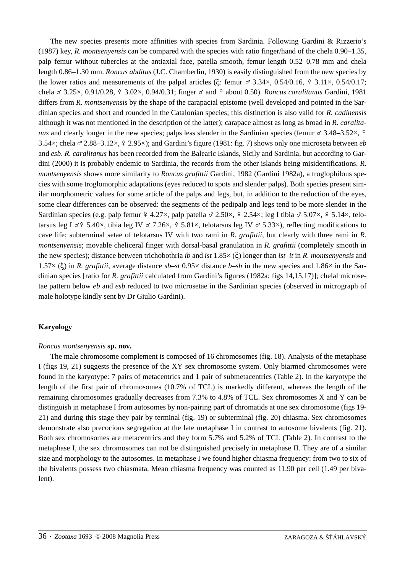The new species presents more affinities with species from Sardinia. Following Gardini & Rizzerio's (1987) key, *R. montsenyensis* can be compared with the species with ratio finger/hand of the chela 0.90–1.35, palp femur without tubercles at the antiaxial face, patella smooth, femur length 0.52–0.78 mm and chela length 0.86–1.30 mm. *Roncus abditus* (J.C. Chamberlin, 1930) is easily distinguished from the new species by the lower ratios and measurements of the palpal articles (ξ: femur  $\sigma$  3.34×, 0.54/0.16,  $\frac{9}{7}$  3.11×, 0.54/0.17; chela % 3.25×, 0.91/0.28, & 3.02×, 0.94/0.31; finger % and & about 0.50). *Roncus caralitanus* Gardini, 1981 differs from *R. montsenyensis* by the shape of the carapacial epistome (well developed and pointed in the Sardinian species and short and rounded in the Catalonian species; this distinction is also valid for *R. cadinensis* although it was not mentioned in the description of the latter); carapace almost as long as broad in *R. caralitanus* and clearly longer in the new species; palps less slender in the Sardinian species (femur  $\sigma$  3.48–3.52 $\times$ ,  $\Omega$ ) 3.54×; chela % 2.88–3.12×, & 2.95×); and Gardini's figure (1981: fig. 7) shows only one microseta between *eb* and *esb*. *R. caralitanus* has been recorded from the Balearic Islands, Sicily and Sardinia, but according to Gardini (2000) it is probably endemic to Sardinia, the records from the other islands being misidentifications. *R*. *montsenyensis* shows more similarity to *Roncus grafittii* Gardini, 1982 (Gardini 1982a), a troglophilous species with some troglomorphic adaptations (eyes reduced to spots and slender palps). Both species present similar morphometric values for some article of the palps and legs, but, in addition to the reduction of the eyes, some clear differences can be observed: the segments of the pedipalp and legs tend to be more slender in the Sardinian species (e.g. palp femur  $\frac{9}{7}$  4.27×, palp patella  $\sigma$  2.50×,  $\frac{9}{7}$  2.54×; leg I tibia  $\sigma$  5.07×,  $\frac{9}{7}$  5.14×, telotarsus leg I  $\sigma$ ? 5.40×, tibia leg IV  $\sigma$  7.26×, ? 5.81×, telotarsus leg IV  $\sigma$  5.33×), reflecting modifications to cave life; subterminal setae of telotarsus IV with two rami in *R. grafittii*, but clearly with three rami in *R. montsenyensis*; movable cheliceral finger with dorsal-basal granulation in *R. grafittii* (completely smooth in the new species); distance between trichobothria *ib* and *ist* 1.85× (ξ) longer than *ist–it* in *R. montsenyensis* and 1.57× (ξ) in *R. grafittii*, average distance *sb–st* 0.95× distance *b–sb* in the new species and 1.86× in the Sardinian species [ratio for *R. grafittii* calculated from Gardini's figures (1982a: figs 14,15,17)]; chelal microsetae pattern below *eb* and *esb* reduced to two microsetae in the Sardinian species (observed in micrograph of male holotype kindly sent by Dr Giulio Gardini).

# **Karyology**

## *Roncus montsenyensis* **sp. nov.**

The male chromosome complement is composed of 16 chromosomes (fig. 18). Analysis of the metaphase I (figs 19, 21) suggests the presence of the XY sex chromosome system. Only biarmed chromosomes were found in the karyotype: 7 pairs of metacentrics and 1 pair of submetacentrics (Table 2). In the karyotype the length of the first pair of chromosomes (10.7% of TCL) is markedly different, whereas the length of the remaining chromosomes gradually decreases from 7.3% to 4.8% of TCL. Sex chromosomes X and Y can be distinguish in metaphase I from autosomes by non-pairing part of chromatids at one sex chromosome (figs 19- 21) and during this stage they pair by terminal (fig. 19) or subterminal (fig. 20) chiasma. Sex chromosomes demonstrate also precocious segregation at the late metaphase I in contrast to autosome bivalents (fig. 21). Both sex chromosomes are metacentrics and they form 5.7% and 5.2% of TCL (Table 2). In contrast to the metaphase I, the sex chromosomes can not be distinguished precisely in metaphase II. They are of a similar size and morphology to the autosomes. In metaphase I we found higher chiasma frequency: from two to six of the bivalents possess two chiasmata. Mean chiasma frequency was counted as 11.90 per cell (1.49 per bivalent).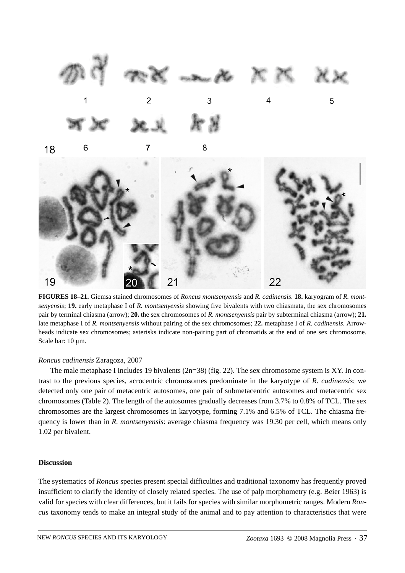



**FIGURES 18–21.** Giemsa stained chromosomes of *Roncus montsenyensis* and *R. cadinensis*. **18.** karyogram of *R. montsenyensis*; **19.** early metaphase I of *R. montsenyensis* showing five bivalents with two chiasmata, the sex chromosomes pair by terminal chiasma (arrow); **20.** the sex chromosomes of *R. montsenyensis* pair by subterminal chiasma (arrow); **21.** late metaphase I of *R. montsenyensis* without pairing of the sex chromosomes; **22.** metaphase I of *R. cadinensis*. Arrowheads indicate sex chromosomes; asterisks indicate non-pairing part of chromatids at the end of one sex chromosome. Scale bar: 10 μm.

## *Roncus cadinensis* Zaragoza, 2007

The male metaphase I includes 19 bivalents  $(2n=38)$  (fig. 22). The sex chromosome system is XY. In contrast to the previous species, acrocentric chromosomes predominate in the karyotype of *R. cadinensis*; we detected only one pair of metacentric autosomes, one pair of submetacentric autosomes and metacentric sex chromosomes (Table 2). The length of the autosomes gradually decreases from 3.7% to 0.8% of TCL. The sex chromosomes are the largest chromosomes in karyotype, forming 7.1% and 6.5% of TCL. The chiasma frequency is lower than in *R. montsenyensis*: average chiasma frequency was 19.30 per cell, which means only 1.02 per bivalent.

#### **Discussion**

The systematics of *Roncus* species present special difficulties and traditional taxonomy has frequently proved insufficient to clarify the identity of closely related species. The use of palp morphometry (e.g. Beier 1963) is valid for species with clear differences, but it fails for species with similar morphometric ranges. Modern *Roncus* taxonomy tends to make an integral study of the animal and to pay attention to characteristics that were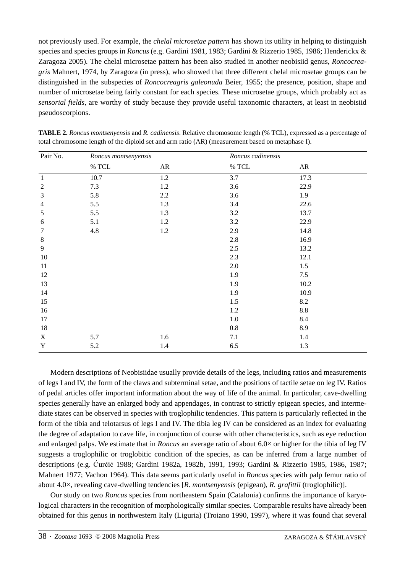not previously used. For example, the *chelal microsetae pattern* has shown its utility in helping to distinguish species and species groups in *Roncus* (e.g. Gardini 1981, 1983; Gardini & Rizzerio 1985, 1986; Henderickx & Zaragoza 2005). The chelal microsetae pattern has been also studied in another neobisiid genus, *Roncocreagris* Mahnert, 1974, by Zaragoza (in press), who showed that three different chelal microsetae groups can be distinguished in the subspecies of *Roncocreagris galeonuda* Beier, 1955; the presence, position, shape and number of microsetae being fairly constant for each species. These microsetae groups, which probably act as *sensorial fields*, are worthy of study because they provide useful taxonomic characters, at least in neobisiid pseudoscorpions.

| Pair No.         | Roncus montsenyensis |     |          | Roncus cadinensis |  |  |
|------------------|----------------------|-----|----------|-------------------|--|--|
|                  | $\%$ TCL             | AR  | $\%$ TCL | AR                |  |  |
| $\mathbf{1}$     | $10.7\,$             | 1.2 | 3.7      | 17.3              |  |  |
| $\boldsymbol{2}$ | 7.3                  | 1.2 | 3.6      | 22.9              |  |  |
| $\mathfrak{Z}$   | 5.8                  | 2.2 | 3.6      | 1.9               |  |  |
| $\overline{4}$   | 5.5                  | 1.3 | 3.4      | 22.6              |  |  |
| $\sqrt{5}$       | 5.5                  | 1.3 | 3.2      | 13.7              |  |  |
| $\sqrt{6}$       | 5.1                  | 1.2 | 3.2      | 22.9              |  |  |
| $\boldsymbol{7}$ | 4.8                  | 1.2 | 2.9      | 14.8              |  |  |
| $\,8\,$          |                      |     | $2.8\,$  | 16.9              |  |  |
| $\overline{9}$   |                      |     | $2.5\,$  | 13.2              |  |  |
| 10               |                      |     | 2.3      | 12.1              |  |  |
| 11               |                      |     | 2.0      | 1.5               |  |  |
| 12               |                      |     | 1.9      | 7.5               |  |  |
| 13               |                      |     | 1.9      | 10.2              |  |  |
| 14               |                      |     | 1.9      | 10.9              |  |  |
| 15               |                      |     | $1.5$    | 8.2               |  |  |
| 16               |                      |     | 1.2      | $\ \, 8.8$        |  |  |
| 17               |                      |     | 1.0      | 8.4               |  |  |
| 18               |                      |     | $0.8\,$  | 8.9               |  |  |
| X                | 5.7                  | 1.6 | 7.1      | 1.4               |  |  |
| $\mathbf Y$      | 5.2                  | 1.4 | 6.5      | 1.3               |  |  |

**TABLE 2.** *Roncus montsenyensis* and *R. cadinensis*. Relative chromosome length (% TCL), expressed as a percentage of total chromosome length of the diploid set and arm ratio (AR) (measurement based on metaphase I).

Modern descriptions of Neobisiidae usually provide details of the legs, including ratios and measurements of legs I and IV, the form of the claws and subterminal setae, and the positions of tactile setae on leg IV. Ratios of pedal articles offer important information about the way of life of the animal. In particular, cave-dwelling species generally have an enlarged body and appendages, in contrast to strictly epigean species, and intermediate states can be observed in species with troglophilic tendencies. This pattern is particularly reflected in the form of the tibia and telotarsus of legs I and IV. The tibia leg IV can be considered as an index for evaluating the degree of adaptation to cave life, in conjunction of course with other characteristics, such as eye reduction and enlarged palps. We estimate that in *Roncus* an average ratio of about 6.0× or higher for the tibia of leg IV suggests a troglophilic or troglobitic condition of the species, as can be inferred from a large number of descriptions (e.g. Ćurčić 1988; Gardini 1982a, 1982b, 1991, 1993; Gardini & Rizzerio 1985, 1986, 1987; Mahnert 1977; Vachon 1964). This data seems particularly useful in *Roncus* species with palp femur ratio of about 4.0×, revealing cave-dwelling tendencies [*R. montsenyensis* (epigean), *R. grafittii* (troglophilic)].

Our study on two *Roncus* species from northeastern Spain (Catalonia) confirms the importance of karyological characters in the recognition of morphologically similar species. Comparable results have already been obtained for this genus in northwestern Italy (Liguria) (Troiano 1990, 1997), where it was found that several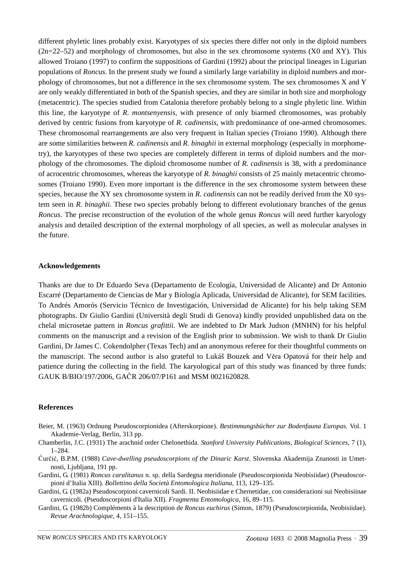different phyletic lines probably exist. Karyotypes of six species there differ not only in the diploid numbers  $(2n=22-52)$  and morphology of chromosomes, but also in the sex chromosome systems  $(X0)$  and  $XY$ ). This allowed Troiano (1997) to confirm the suppositions of Gardini (1992) about the principal lineages in Ligurian populations of *Roncus*. In the present study we found a similarly large variability in diploid numbers and morphology of chromosomes, but not a difference in the sex chromosome system. The sex chromosomes  $X$  and  $Y$ are only weakly differentiated in both of the Spanish species, and they are similar in both size and morphology (metacentric). The species studied from Catalonia therefore probably belong to a single phyletic line. Within this line, the karyotype of *R. montsenyensis*, with presence of only biarmed chromosomes, was probably derived by centric fusions from karyotype of *R. cadinensis*, with predominance of one-armed chromosomes. These chromosomal rearrangements are also very frequent in Italian species (Troiano 1990). Although there are some similarities between *R. cadinensis* and *R. binaghii* in external morphology (especially in morphometry), the karyotypes of these two species are completely different in terms of diploid numbers and the morphology of the chromosomes. The diploid chromosome number of *R. cadinensis* is 38, with a predominance of acrocentric chromosomes, whereas the karyotype of *R. binaghii* consists of 25 mainly metacentric chromosomes (Troiano 1990). Even more important is the difference in the sex chromosome system between these species, because the XY sex chromosome system in *R. cadinensis* can not be readily derived from the X0 system seen in *R. binaghii*. These two species probably belong to different evolutionary branches of the genus *Roncus*. The precise reconstruction of the evolution of the whole genus *Roncus* will need further karyology analysis and detailed description of the external morphology of all species, as well as molecular analyses in the future.

### **Acknowledgements**

Thanks are due to Dr Eduardo Seva (Departamento de Ecología, Universidad de Alicante) and Dr Antonio Escarré (Departamento de Ciencias de Mar y Biología Aplicada, Universidad de Alicante), for SEM facilities. To Andrés Amorós (Servicio Técnico de Investigación, Universidad de Alicante) for his help taking SEM photographs. Dr Giulio Gardini (Università degli Studi di Genova) kindly provided unpublished data on the chelal microsetae pattern in *Roncus grafittii.* We are indebted to Dr Mark Judson (MNHN) for his helpful comments on the manuscript and a revision of the English prior to submission. We wish to thank Dr Giulio Gardini, Dr James C. Cokendolpher (Texas Tech) and an anonymous referee for their thoughtful comments on the manuscript. The second author is also grateful to Lukáš Bouzek and Věra Opatová for their help and patience during the collecting in the field. The karyological part of this study was financed by three funds: GAUK B/BIO/197/2006, GAČR 206/07/P161 and MSM 0021620828.

#### **References**

- Beier, M. (1963) Ordnung Pseudoscorpionidea (Afterskorpione). *Bestimmungsbücher zur Bodenfauna Europas.* Vol. 1 Akademie-Verlag, Berlin, 313 pp.
- Chamberlin, J.C. (1931) The arachnid order Chelonethida. *Stanford University Publications, Biological Sciences*, 7 (1), 1–284.
- Ćurčić, B.P.M. (1988) *Cave-dwelling pseudoscorpions of the Dinaric Karst*. Slovenska Akademija Znanosti in Umetnosti, Ljubljana, 191 pp.
- Gardini, G. (1981) *Roncus caralitanus* n. sp. della Sardegna meridionale (Pseudoscorpionida Neobisiidae) (Pseudoscorpioni d'Italia XIII). *Bollettino della Società Entomologica Italiana*, 113, 129–135.
- Gardini, G. (1982a) Pseudoscorpioni cavernicoli Sardi. II. Neobisiidae e Chernetidae, con considerazioni sui Neobisiinae cavernicoli. (Pseudoscorpioni d'Italia XII). *Fragmenta Entomologica*, 16, 89–115.
- Gardini, G. (1982b) Compléments à la description de *Roncus euchirus* (Simon, 1879) (Pseudoscorpionida, Neobisiidae). *Revue Arachnologique*, 4, 151–155.